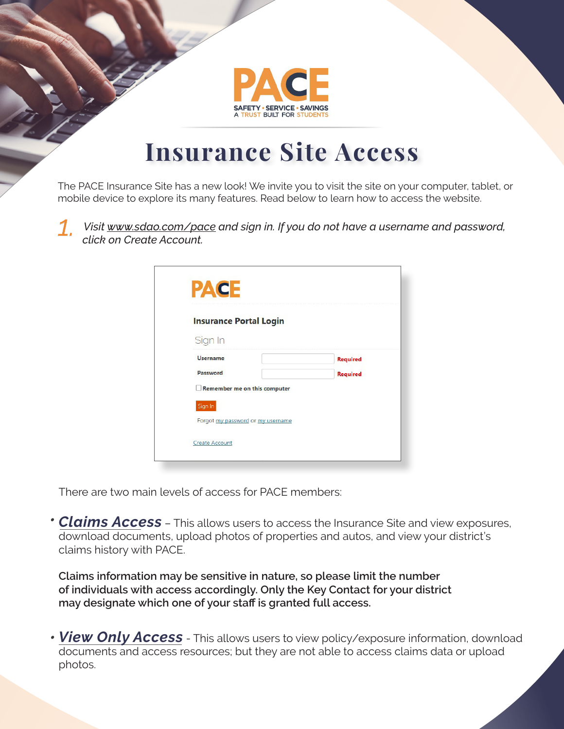

## **Insurance Site Access**

The PACE Insurance Site has a new look! We invite you to visit the site on your computer, tablet, or mobile device to explore its many features. Read below to learn how to access the website.

*1. Visit www.sdao.com/pace and sign in. If you do not have a username and password, click on Create Account.* 

| <b>Insurance Portal Login</b>     |                 |
|-----------------------------------|-----------------|
| Sign In                           |                 |
| <b>Username</b>                   | <b>Required</b> |
| Password                          | <b>Required</b> |
| Remember me on this computer      |                 |
| Sign In                           |                 |
| Forgot my password or my username |                 |

There are two main levels of access for PACE members:

*Claims Access* – This allows users to access the Insurance Site and view exposures, *•*  download documents, upload photos of properties and autos, and view your district's claims history with PACE.

**Claims information may be sensitive in nature, so please limit the number of individuals with access accordingly. Only the Key Contact for your district may designate which one of your staff is granted full access.**

*View Only Access* - This allows users to view policy/exposure information, download *•* documents and access resources; but they are not able to access claims data or upload photos.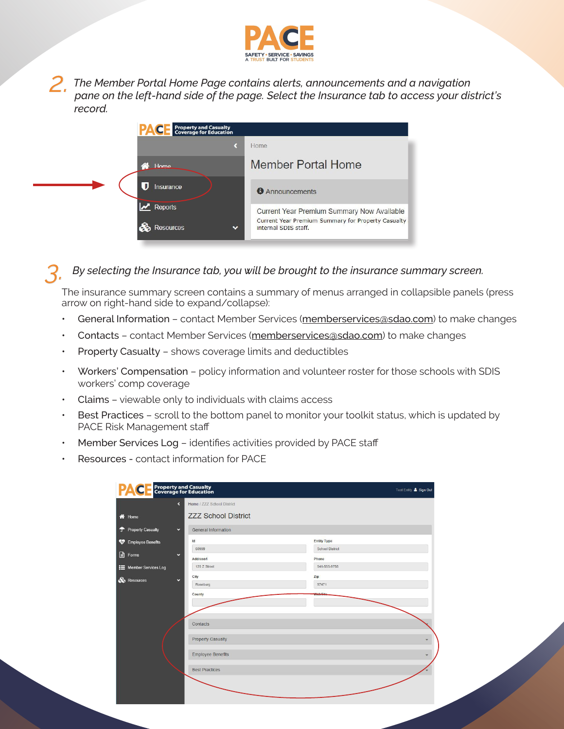

*2. The Member Portal Home Page contains alerts, announcements and a navigation pane on the left-hand side of the page. Select the Insurance tab to access your district's record.*

|   | <b>Property and Casualty<br/>Coverage for Education</b> |                                                                            |
|---|---------------------------------------------------------|----------------------------------------------------------------------------|
|   |                                                         | Home.                                                                      |
|   | Home                                                    | <b>Member Portal Home</b>                                                  |
|   | Insurance                                               | <b>O</b> Announcements                                                     |
|   | $\sqrt{ }$ Reports                                      | Current Year Premium Summary Now Available                                 |
| ଈ | Resources<br>$\checkmark$                               | Current Year Premium Summary for Property Casualty<br>internal SDIS staff. |

## *3. By selecting the Insurance tab, you will be brought to the insurance summary screen.*

The insurance summary screen contains a summary of menus arranged in collapsible panels (press arrow on right-hand side to expand/collapse):

- General Information contact Member Services (memberservices@sdao.com) to make changes
- Contacts contact Member Services (memberservices@sdao.com) to make changes
- Property Casualty shows coverage limits and deductibles
- Workers' Compensation policy information and volunteer roster for those schools with SDIS workers' comp coverage
- Claims viewable only to individuals with claims access
- Best Practices scroll to the bottom panel to monitor your toolkit status, which is updated by PACE Risk Management staff
- Member Services Log identifies activities provided by PACE staff
- Resources contact information for PACE

|                                | <b>Property and Casualty<br/>Coverage for Education</b>       | Test Entity & Sign Out          |
|--------------------------------|---------------------------------------------------------------|---------------------------------|
| <b>谷</b> Home                  | Home / ZZZ School District<br>K<br><b>ZZZ School District</b> |                                 |
| <sup>T</sup> Property Casualty | $\checkmark$<br><b>General Information</b>                    |                                 |
| ❤<br><b>Employee Benefits</b>  | Id                                                            | <b>Entity Type</b>              |
| <b>A</b> Forms                 | 60999<br>$\checkmark$<br>Address1                             | <b>School District</b><br>Phone |
| <b>E</b> Member Services Log   | 125 Z Street                                                  | 541-555-9758                    |
| <b>S</b> Resources             | City<br>$\checkmark$                                          | Zip                             |
|                                | Roseburg                                                      | 97471                           |
|                                | County                                                        | WebSit                          |
|                                | Contacts                                                      |                                 |
|                                | <b>Property Casualty</b>                                      | $\checkmark$                    |
|                                | <b>Employee Benefits</b>                                      | $\ddot{\phantom{1}}$            |
|                                | <b>Best Practices</b>                                         |                                 |
|                                |                                                               |                                 |
|                                |                                                               |                                 |
|                                |                                                               |                                 |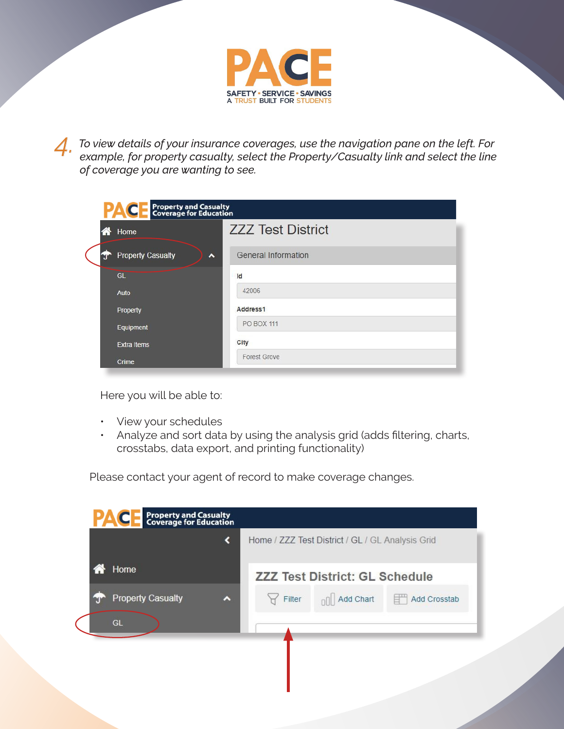

*4. To view details of your insurance coverages, use the navigation pane on the left. For example, for property casualty, select the Property/Casualty link and select the line of coverage you are wanting to see.*

| Property and Casualty<br>Coverage for Education<br>PAC |                                       |                          |  |  |  |  |  |  |
|--------------------------------------------------------|---------------------------------------|--------------------------|--|--|--|--|--|--|
| ⋘                                                      | Home                                  | <b>ZZZ Test District</b> |  |  |  |  |  |  |
|                                                        | <b>Property Casualty</b><br>$\lambda$ | General Information      |  |  |  |  |  |  |
|                                                        | GL                                    | Id                       |  |  |  |  |  |  |
|                                                        | Auto                                  | 42006                    |  |  |  |  |  |  |
|                                                        | Property                              | Address1                 |  |  |  |  |  |  |
|                                                        | Equipment                             | <b>PO BOX 111</b>        |  |  |  |  |  |  |
|                                                        | <b>Extra Items</b>                    | City                     |  |  |  |  |  |  |
|                                                        | Crime                                 | <b>Forest Grove</b>      |  |  |  |  |  |  |

Here you will be able to:

- View your schedules
- Analyze and sort data by using the analysis grid (adds filtering, charts, crosstabs, data export, and printing functionality)

Please contact your agent of record to make coverage changes.

| <b>Property and Casualty<br/>Coverage for Education</b><br><b>PAC</b> |        | Home / ZZZ Test District / GL / GL Analysis Grid |                    |
|-----------------------------------------------------------------------|--------|--------------------------------------------------|--------------------|
| Home                                                                  |        | <b>ZZZ Test District: GL Schedule</b>            |                    |
| <b>Property Casualty</b><br>A                                         | Filter | <b>DO</b> Add Chart                              | e"<br>Add Crosstab |
| GL                                                                    |        |                                                  |                    |